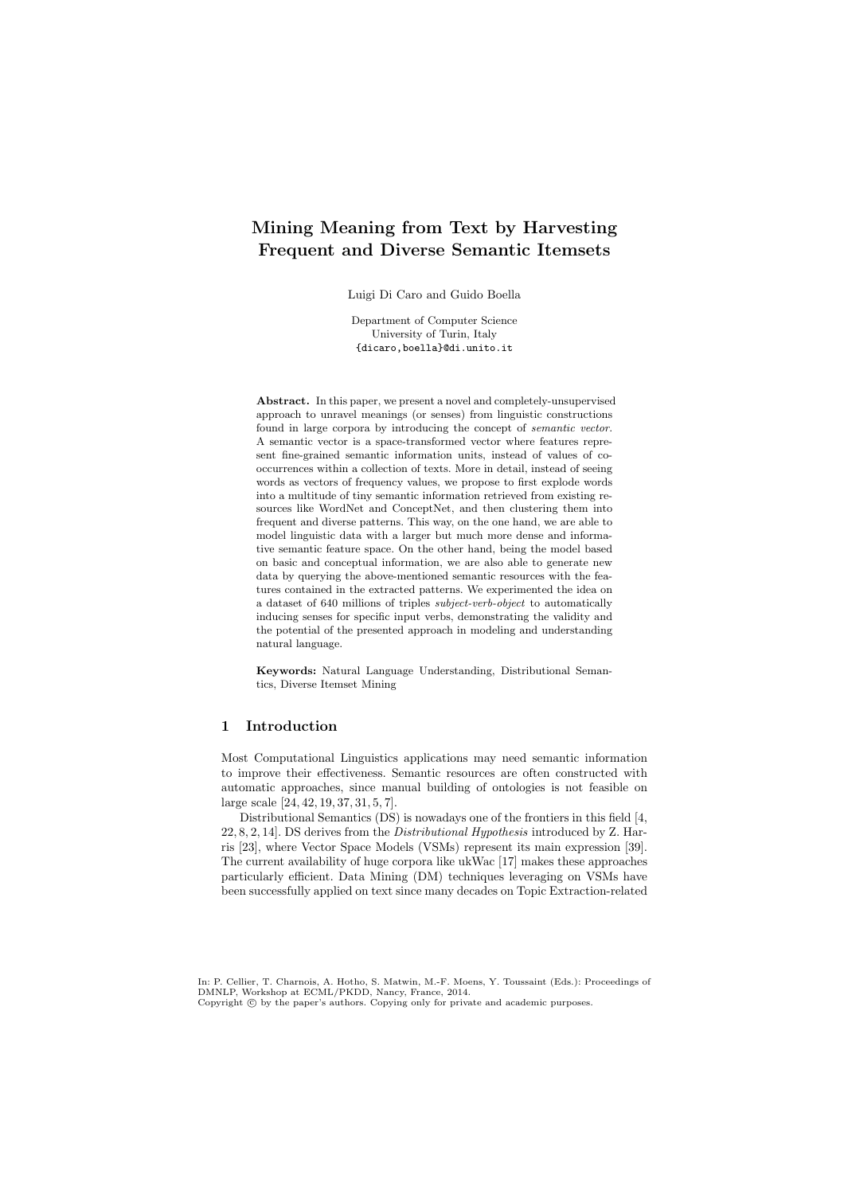# Mining Meaning from Text by Harvesting Frequent and Diverse Semantic Itemsets

Luigi Di Caro and Guido Boella

Department of Computer Science University of Turin, Italy {dicaro,boella}@di.unito.it

Abstract. In this paper, we present a novel and completely-unsupervised approach to unravel meanings (or senses) from linguistic constructions found in large corpora by introducing the concept of *semantic vector*. A semantic vector is a space-transformed vector where features represent fine-grained semantic information units, instead of values of cooccurrences within a collection of texts. More in detail, instead of seeing words as vectors of frequency values, we propose to first explode words into a multitude of tiny semantic information retrieved from existing resources like WordNet and ConceptNet, and then clustering them into frequent and diverse patterns. This way, on the one hand, we are able to model linguistic data with a larger but much more dense and informative semantic feature space. On the other hand, being the model based on basic and conceptual information, we are also able to generate new data by querying the above-mentioned semantic resources with the features contained in the extracted patterns. We experimented the idea on a dataset of 640 millions of triples *subject-verb-object* to automatically inducing senses for specific input verbs, demonstrating the validity and the potential of the presented approach in modeling and understanding natural language.

Keywords: Natural Language Understanding, Distributional Semantics, Diverse Itemset Mining

# 1 Introduction

Most Computational Linguistics applications may need semantic information to improve their effectiveness. Semantic resources are often constructed with automatic approaches, since manual building of ontologies is not feasible on large scale [24, 42, 19, 37, 31, 5, 7].

Distributional Semantics (DS) is nowadays one of the frontiers in this field [4, 22, 8, 2, 14]. DS derives from the *Distributional Hypothesis* introduced by Z. Harris [23], where Vector Space Models (VSMs) represent its main expression [39]. The current availability of huge corpora like ukWac [17] makes these approaches particularly efficient. Data Mining (DM) techniques leveraging on VSMs have been successfully applied on text since many decades on Topic Extraction-related

In: P. Cellier, T. Charnois, A. Hotho, S. Matwin, M.-F. Moens, Y. Toussaint (Eds.): Proceedings of DMNLP, Workshop at ECML/PKDD, Nancy, France, 2014. Copyright  $\odot$  by the paper's authors. Copying only for private and academic purposes.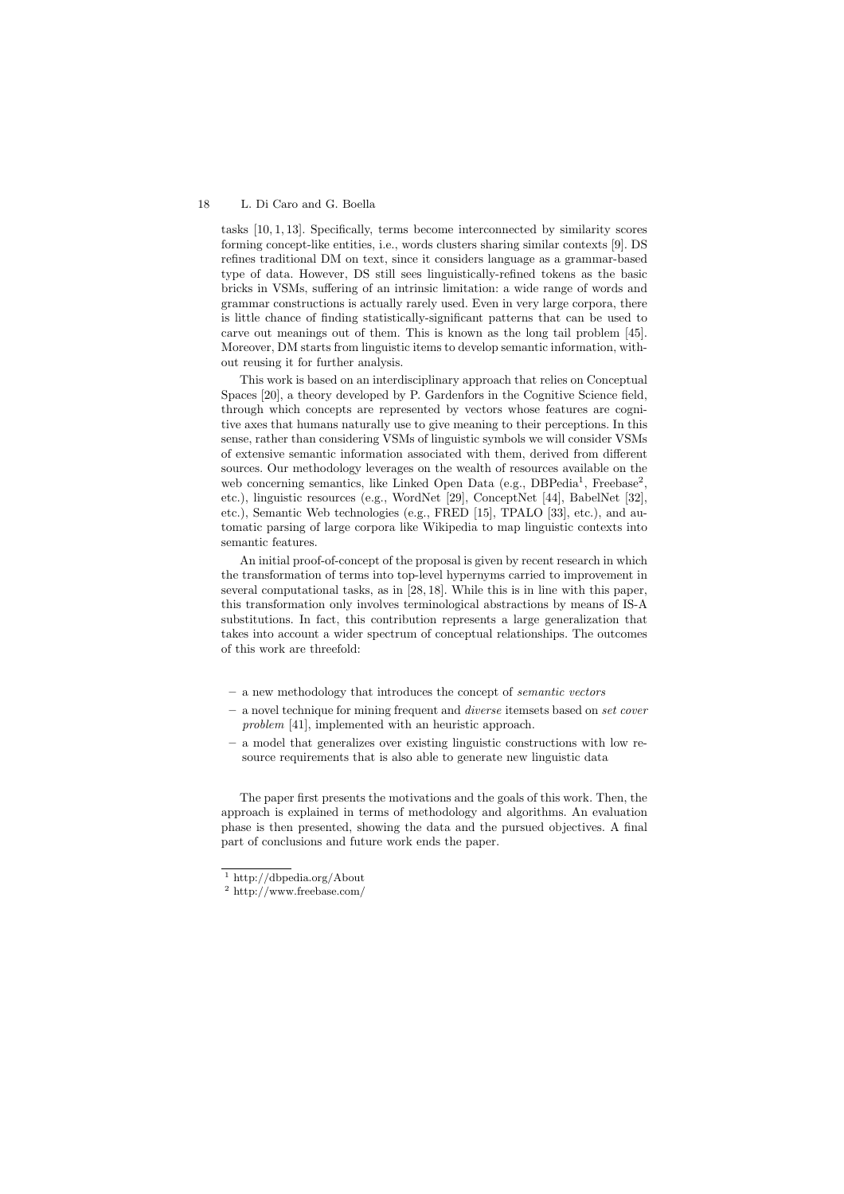tasks [10, 1, 13]. Specifically, terms become interconnected by similarity scores forming concept-like entities, i.e., words clusters sharing similar contexts [9]. DS refines traditional DM on text, since it considers language as a grammar-based type of data. However, DS still sees linguistically-refined tokens as the basic bricks in VSMs, suffering of an intrinsic limitation: a wide range of words and grammar constructions is actually rarely used. Even in very large corpora, there is little chance of finding statistically-significant patterns that can be used to carve out meanings out of them. This is known as the long tail problem [45]. Moreover, DM starts from linguistic items to develop semantic information, without reusing it for further analysis.

This work is based on an interdisciplinary approach that relies on Conceptual Spaces [20], a theory developed by P. Gardenfors in the Cognitive Science field, through which concepts are represented by vectors whose features are cognitive axes that humans naturally use to give meaning to their perceptions. In this sense, rather than considering VSMs of linguistic symbols we will consider VSMs of extensive semantic information associated with them, derived from different sources. Our methodology leverages on the wealth of resources available on the web concerning semantics, like Linked Open Data (e.g., DBPedia<sup>1</sup>, Freebase<sup>2</sup>, etc.), linguistic resources (e.g., WordNet [29], ConceptNet [44], BabelNet [32], etc.), Semantic Web technologies (e.g., FRED [15], TPALO [33], etc.), and automatic parsing of large corpora like Wikipedia to map linguistic contexts into semantic features.

An initial proof-of-concept of the proposal is given by recent research in which the transformation of terms into top-level hypernyms carried to improvement in several computational tasks, as in [28, 18]. While this is in line with this paper, this transformation only involves terminological abstractions by means of IS-A substitutions. In fact, this contribution represents a large generalization that takes into account a wider spectrum of conceptual relationships. The outcomes of this work are threefold:

- a new methodology that introduces the concept of *semantic vectors*
- a novel technique for mining frequent and *diverse* itemsets based on *set cover problem* [41], implemented with an heuristic approach.
- a model that generalizes over existing linguistic constructions with low resource requirements that is also able to generate new linguistic data

The paper first presents the motivations and the goals of this work. Then, the approach is explained in terms of methodology and algorithms. An evaluation phase is then presented, showing the data and the pursued objectives. A final part of conclusions and future work ends the paper.

<sup>&</sup>lt;sup>1</sup> http://dbpedia.org/About

<sup>2</sup> http://www.freebase.com/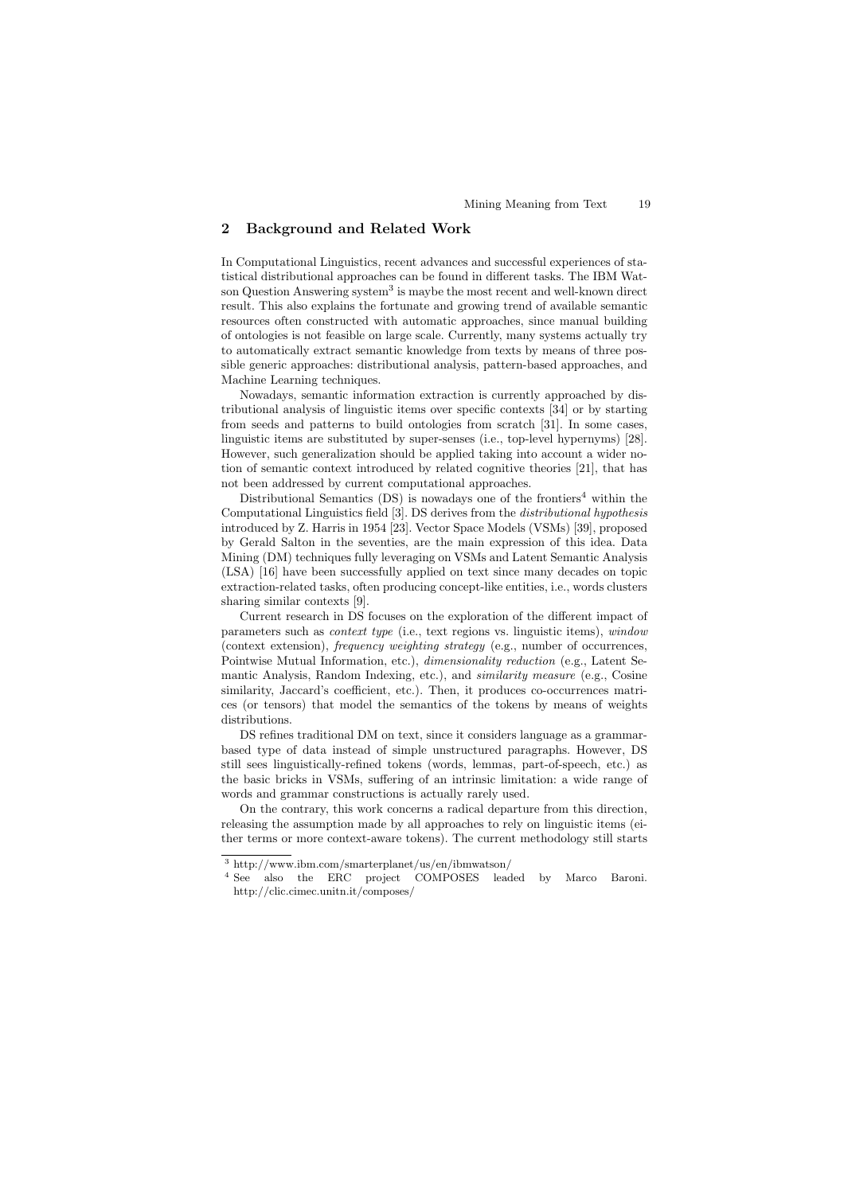# 2 Background and Related Work

In Computational Linguistics, recent advances and successful experiences of statistical distributional approaches can be found in different tasks. The IBM Watson Question Answering system<sup>3</sup> is maybe the most recent and well-known direct result. This also explains the fortunate and growing trend of available semantic resources often constructed with automatic approaches, since manual building of ontologies is not feasible on large scale. Currently, many systems actually try to automatically extract semantic knowledge from texts by means of three possible generic approaches: distributional analysis, pattern-based approaches, and Machine Learning techniques.

Nowadays, semantic information extraction is currently approached by distributional analysis of linguistic items over specific contexts [34] or by starting from seeds and patterns to build ontologies from scratch [31]. In some cases, linguistic items are substituted by super-senses (i.e., top-level hypernyms) [28]. However, such generalization should be applied taking into account a wider notion of semantic context introduced by related cognitive theories [21], that has not been addressed by current computational approaches.

Distributional Semantics  $(DS)$  is nowadays one of the frontiers<sup>4</sup> within the Computational Linguistics field [3]. DS derives from the *distributional hypothesis* introduced by Z. Harris in 1954 [23]. Vector Space Models (VSMs) [39], proposed by Gerald Salton in the seventies, are the main expression of this idea. Data Mining (DM) techniques fully leveraging on VSMs and Latent Semantic Analysis (LSA) [16] have been successfully applied on text since many decades on topic extraction-related tasks, often producing concept-like entities, i.e., words clusters sharing similar contexts [9].

Current research in DS focuses on the exploration of the different impact of parameters such as *context type* (i.e., text regions vs. linguistic items), *window* (context extension), *frequency weighting strategy* (e.g., number of occurrences, Pointwise Mutual Information, etc.), *dimensionality reduction* (e.g., Latent Semantic Analysis, Random Indexing, etc.), and *similarity measure* (e.g., Cosine similarity, Jaccard's coefficient, etc.). Then, it produces co-occurrences matrices (or tensors) that model the semantics of the tokens by means of weights distributions.

DS refines traditional DM on text, since it considers language as a grammarbased type of data instead of simple unstructured paragraphs. However, DS still sees linguistically-refined tokens (words, lemmas, part-of-speech, etc.) as the basic bricks in VSMs, suffering of an intrinsic limitation: a wide range of words and grammar constructions is actually rarely used.

On the contrary, this work concerns a radical departure from this direction, releasing the assumption made by all approaches to rely on linguistic items (either terms or more context-aware tokens). The current methodology still starts

<sup>3</sup> http://www.ibm.com/smarterplanet/us/en/ibmwatson/

<sup>4</sup> See also the ERC project COMPOSES leaded by Marco Baroni. http://clic.cimec.unitn.it/composes/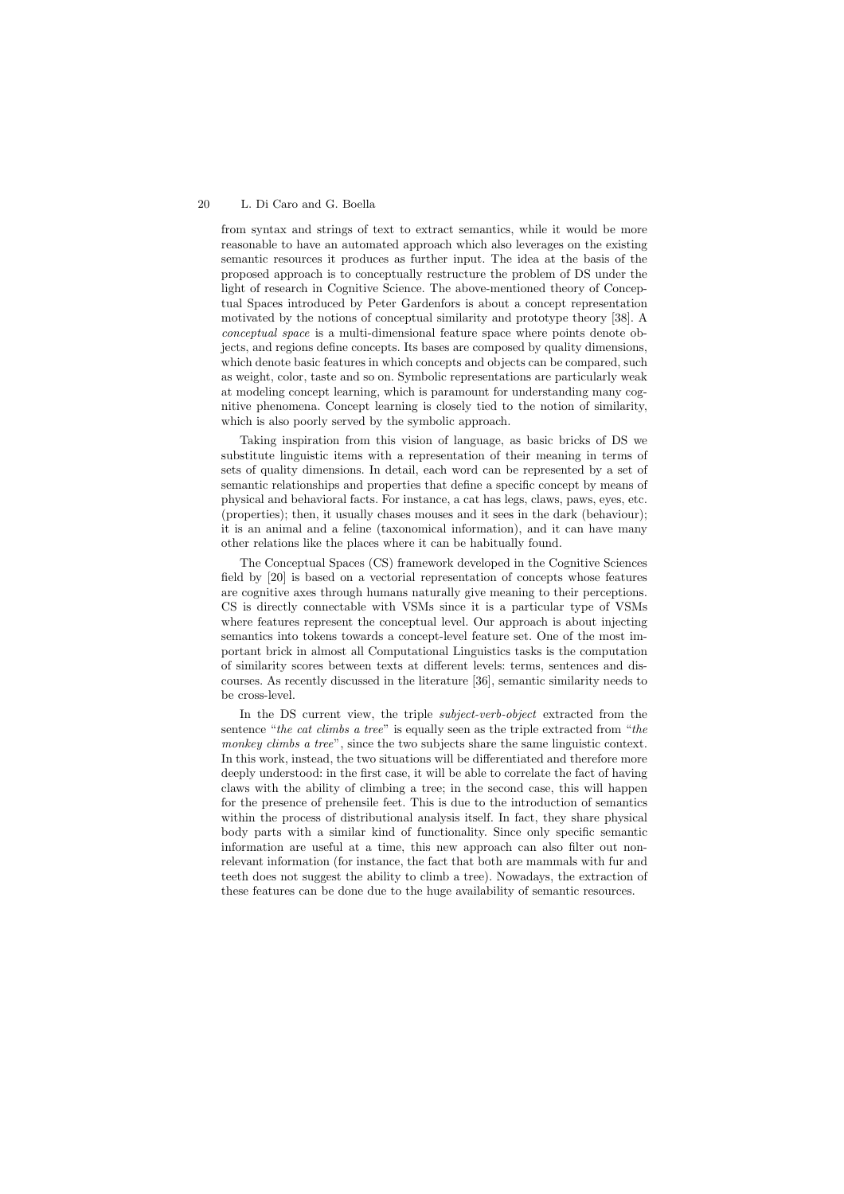from syntax and strings of text to extract semantics, while it would be more reasonable to have an automated approach which also leverages on the existing semantic resources it produces as further input. The idea at the basis of the proposed approach is to conceptually restructure the problem of DS under the light of research in Cognitive Science. The above-mentioned theory of Conceptual Spaces introduced by Peter Gardenfors is about a concept representation motivated by the notions of conceptual similarity and prototype theory [38]. A *conceptual space* is a multi-dimensional feature space where points denote objects, and regions define concepts. Its bases are composed by quality dimensions, which denote basic features in which concepts and objects can be compared, such as weight, color, taste and so on. Symbolic representations are particularly weak at modeling concept learning, which is paramount for understanding many cognitive phenomena. Concept learning is closely tied to the notion of similarity, which is also poorly served by the symbolic approach.

Taking inspiration from this vision of language, as basic bricks of DS we substitute linguistic items with a representation of their meaning in terms of sets of quality dimensions. In detail, each word can be represented by a set of semantic relationships and properties that define a specific concept by means of physical and behavioral facts. For instance, a cat has legs, claws, paws, eyes, etc. (properties); then, it usually chases mouses and it sees in the dark (behaviour); it is an animal and a feline (taxonomical information), and it can have many other relations like the places where it can be habitually found.

The Conceptual Spaces (CS) framework developed in the Cognitive Sciences field by [20] is based on a vectorial representation of concepts whose features are cognitive axes through humans naturally give meaning to their perceptions. CS is directly connectable with VSMs since it is a particular type of VSMs where features represent the conceptual level. Our approach is about injecting semantics into tokens towards a concept-level feature set. One of the most important brick in almost all Computational Linguistics tasks is the computation of similarity scores between texts at different levels: terms, sentences and discourses. As recently discussed in the literature [36], semantic similarity needs to be cross-level.

In the DS current view, the triple *subject-verb-object* extracted from the sentence "*the cat climbs a tree*" is equally seen as the triple extracted from "*the monkey climbs a tree*", since the two subjects share the same linguistic context. In this work, instead, the two situations will be differentiated and therefore more deeply understood: in the first case, it will be able to correlate the fact of having claws with the ability of climbing a tree; in the second case, this will happen for the presence of prehensile feet. This is due to the introduction of semantics within the process of distributional analysis itself. In fact, they share physical body parts with a similar kind of functionality. Since only specific semantic information are useful at a time, this new approach can also filter out nonrelevant information (for instance, the fact that both are mammals with fur and teeth does not suggest the ability to climb a tree). Nowadays, the extraction of these features can be done due to the huge availability of semantic resources.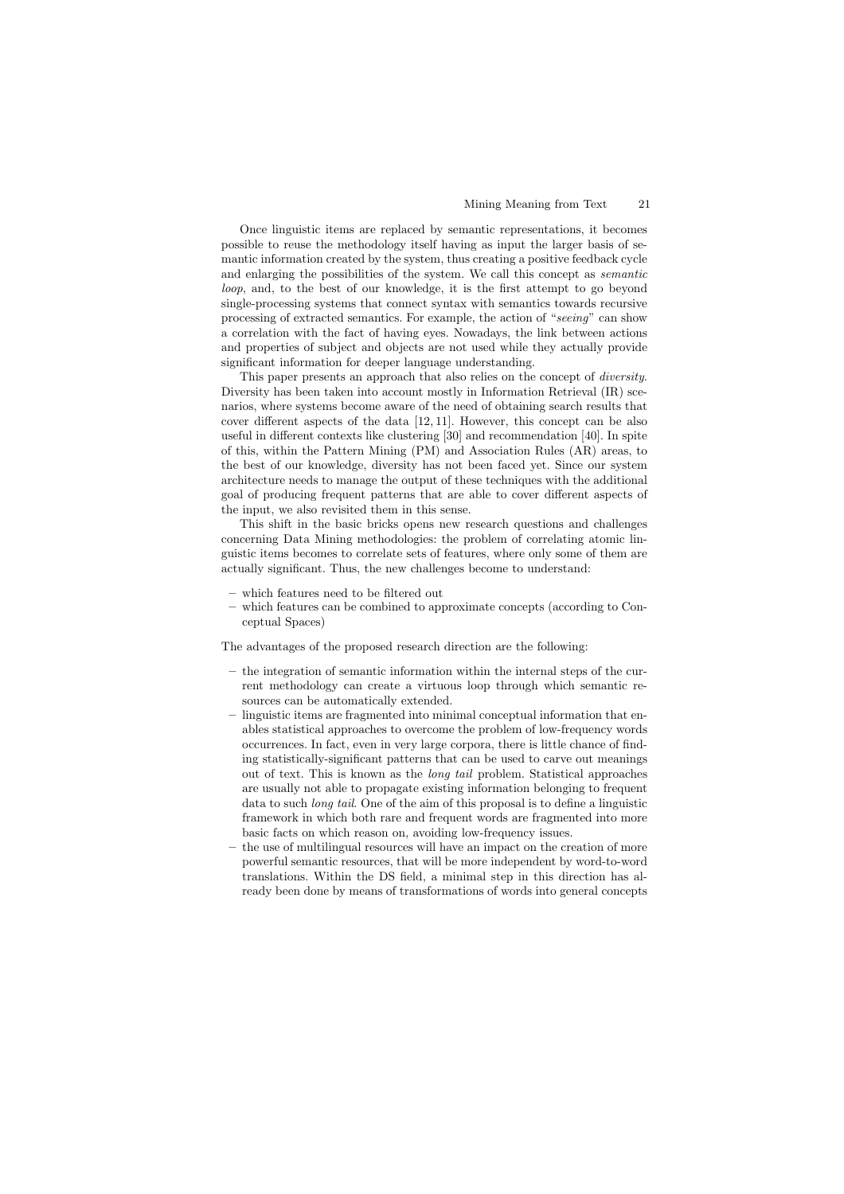Once linguistic items are replaced by semantic representations, it becomes possible to reuse the methodology itself having as input the larger basis of semantic information created by the system, thus creating a positive feedback cycle and enlarging the possibilities of the system. We call this concept as *semantic loop*, and, to the best of our knowledge, it is the first attempt to go beyond single-processing systems that connect syntax with semantics towards recursive processing of extracted semantics. For example, the action of "*seeing*" can show a correlation with the fact of having eyes. Nowadays, the link between actions and properties of subject and objects are not used while they actually provide significant information for deeper language understanding.

This paper presents an approach that also relies on the concept of *diversity*. Diversity has been taken into account mostly in Information Retrieval (IR) scenarios, where systems become aware of the need of obtaining search results that cover different aspects of the data  $[12, 11]$ . However, this concept can be also useful in different contexts like clustering  $[30]$  and recommendation  $[40]$ . In spite of this, within the Pattern Mining (PM) and Association Rules (AR) areas, to the best of our knowledge, diversity has not been faced yet. Since our system architecture needs to manage the output of these techniques with the additional goal of producing frequent patterns that are able to cover different aspects of the input, we also revisited them in this sense.

This shift in the basic bricks opens new research questions and challenges concerning Data Mining methodologies: the problem of correlating atomic linguistic items becomes to correlate sets of features, where only some of them are actually significant. Thus, the new challenges become to understand:

- which features need to be filtered out
- which features can be combined to approximate concepts (according to Conceptual Spaces)

The advantages of the proposed research direction are the following:

- the integration of semantic information within the internal steps of the current methodology can create a virtuous loop through which semantic resources can be automatically extended.
- linguistic items are fragmented into minimal conceptual information that enables statistical approaches to overcome the problem of low-frequency words occurrences. In fact, even in very large corpora, there is little chance of finding statistically-significant patterns that can be used to carve out meanings out of text. This is known as the *long tail* problem. Statistical approaches are usually not able to propagate existing information belonging to frequent data to such *long tail*. One of the aim of this proposal is to define a linguistic framework in which both rare and frequent words are fragmented into more basic facts on which reason on, avoiding low-frequency issues.
- the use of multilingual resources will have an impact on the creation of more powerful semantic resources, that will be more independent by word-to-word translations. Within the DS field, a minimal step in this direction has already been done by means of transformations of words into general concepts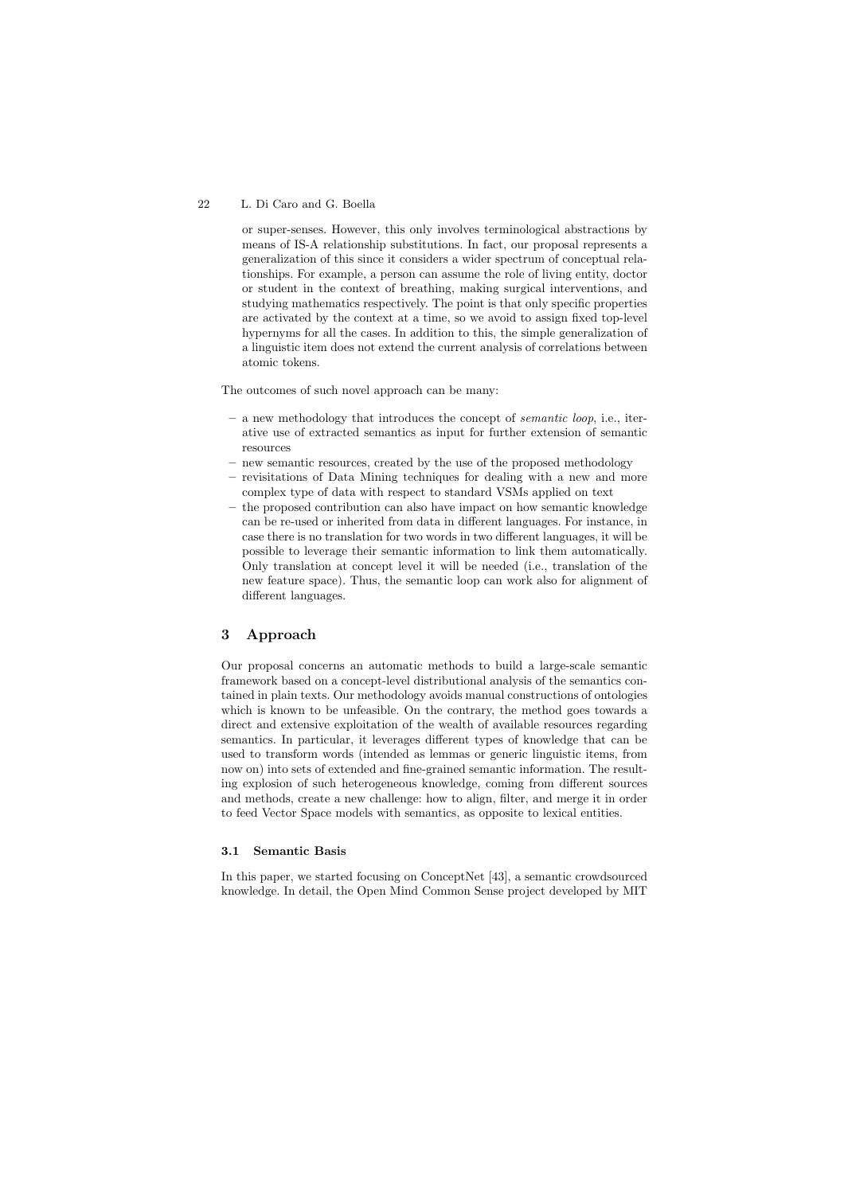or super-senses. However, this only involves terminological abstractions by means of IS-A relationship substitutions. In fact, our proposal represents a generalization of this since it considers a wider spectrum of conceptual relationships. For example, a person can assume the role of living entity, doctor or student in the context of breathing, making surgical interventions, and studying mathematics respectively. The point is that only specific properties are activated by the context at a time, so we avoid to assign fixed top-level hypernyms for all the cases. In addition to this, the simple generalization of a linguistic item does not extend the current analysis of correlations between atomic tokens.

The outcomes of such novel approach can be many:

- a new methodology that introduces the concept of *semantic loop*, i.e., iterative use of extracted semantics as input for further extension of semantic resources
- new semantic resources, created by the use of the proposed methodology
- revisitations of Data Mining techniques for dealing with a new and more complex type of data with respect to standard VSMs applied on text
- the proposed contribution can also have impact on how semantic knowledge can be re-used or inherited from data in different languages. For instance, in case there is no translation for two words in two different languages, it will be possible to leverage their semantic information to link them automatically. Only translation at concept level it will be needed (i.e., translation of the new feature space). Thus, the semantic loop can work also for alignment of different languages.

# 3 Approach

Our proposal concerns an automatic methods to build a large-scale semantic framework based on a concept-level distributional analysis of the semantics contained in plain texts. Our methodology avoids manual constructions of ontologies which is known to be unfeasible. On the contrary, the method goes towards a direct and extensive exploitation of the wealth of available resources regarding semantics. In particular, it leverages different types of knowledge that can be used to transform words (intended as lemmas or generic linguistic items, from now on) into sets of extended and fine-grained semantic information. The resulting explosion of such heterogeneous knowledge, coming from different sources and methods, create a new challenge: how to align, filter, and merge it in order to feed Vector Space models with semantics, as opposite to lexical entities.

#### 3.1 Semantic Basis

In this paper, we started focusing on ConceptNet [43], a semantic crowdsourced knowledge. In detail, the Open Mind Common Sense project developed by MIT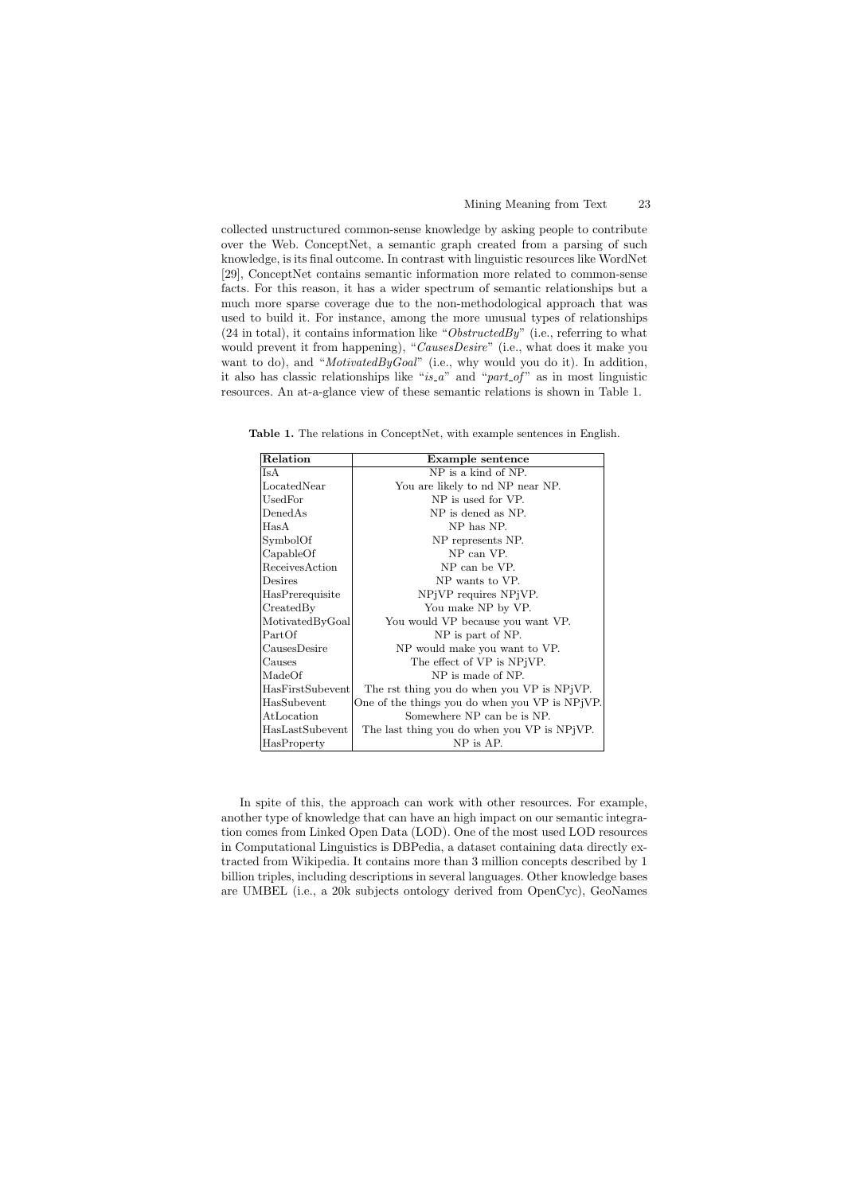collected unstructured common-sense knowledge by asking people to contribute over the Web. ConceptNet, a semantic graph created from a parsing of such knowledge, is its final outcome. In contrast with linguistic resources like WordNet [29], ConceptNet contains semantic information more related to common-sense facts. For this reason, it has a wider spectrum of semantic relationships but a much more sparse coverage due to the non-methodological approach that was used to build it. For instance, among the more unusual types of relationships (24 in total), it contains information like "*ObstructedBy*" (i.e., referring to what would prevent it from happening), "*CausesDesire*" (i.e., what does it make you want to do), and "*MotivatedByGoal*" (i.e., why would you do it). In addition, it also has classic relationships like "*is a*" and "*part of* " as in most linguistic resources. An at-a-glance view of these semantic relations is shown in Table 1.

Table 1. The relations in ConceptNet, with example sentences in English.

| Relation         | Example sentence                               |  |
|------------------|------------------------------------------------|--|
| Is A             | NP is a kind of NP.                            |  |
| LocatedNear      | You are likely to nd NP near NP.               |  |
| Use dFor         | NP is used for VP.                             |  |
| DenedAs          | NP is dened as NP.                             |  |
| HasA             | NP has NP.                                     |  |
| SymbolOf         | NP represents NP.                              |  |
| CapableOf        | NP can VP.                                     |  |
| ReceivesAction   | NP can be VP.                                  |  |
| Desires          | NP wants to VP.                                |  |
| HasPrerequisite  | NPjVP requires NPjVP.                          |  |
| CreatedBy        | You make NP by VP.                             |  |
| MotivatedByGoal  | You would VP because you want VP.              |  |
| PartOf           | NP is part of NP.                              |  |
| CausesDesire     | NP would make you want to VP.                  |  |
| Causes           | The effect of VP is NP VP.                     |  |
| MadeOf           | NP is made of NP.                              |  |
| HasFirstSubevent | The rst thing you do when you VP is NPjVP.     |  |
| HasSubevent      | One of the things you do when you VP is NPjVP. |  |
| AtLocation       | Somewhere NP can be is NP.                     |  |
| HasLastSubevent  | The last thing you do when you VP is NPjVP.    |  |
| HasProperty      | NP is AP.                                      |  |

In spite of this, the approach can work with other resources. For example, another type of knowledge that can have an high impact on our semantic integration comes from Linked Open Data (LOD). One of the most used LOD resources in Computational Linguistics is DBPedia, a dataset containing data directly extracted from Wikipedia. It contains more than 3 million concepts described by 1 billion triples, including descriptions in several languages. Other knowledge bases are UMBEL (i.e., a 20k subjects ontology derived from OpenCyc), GeoNames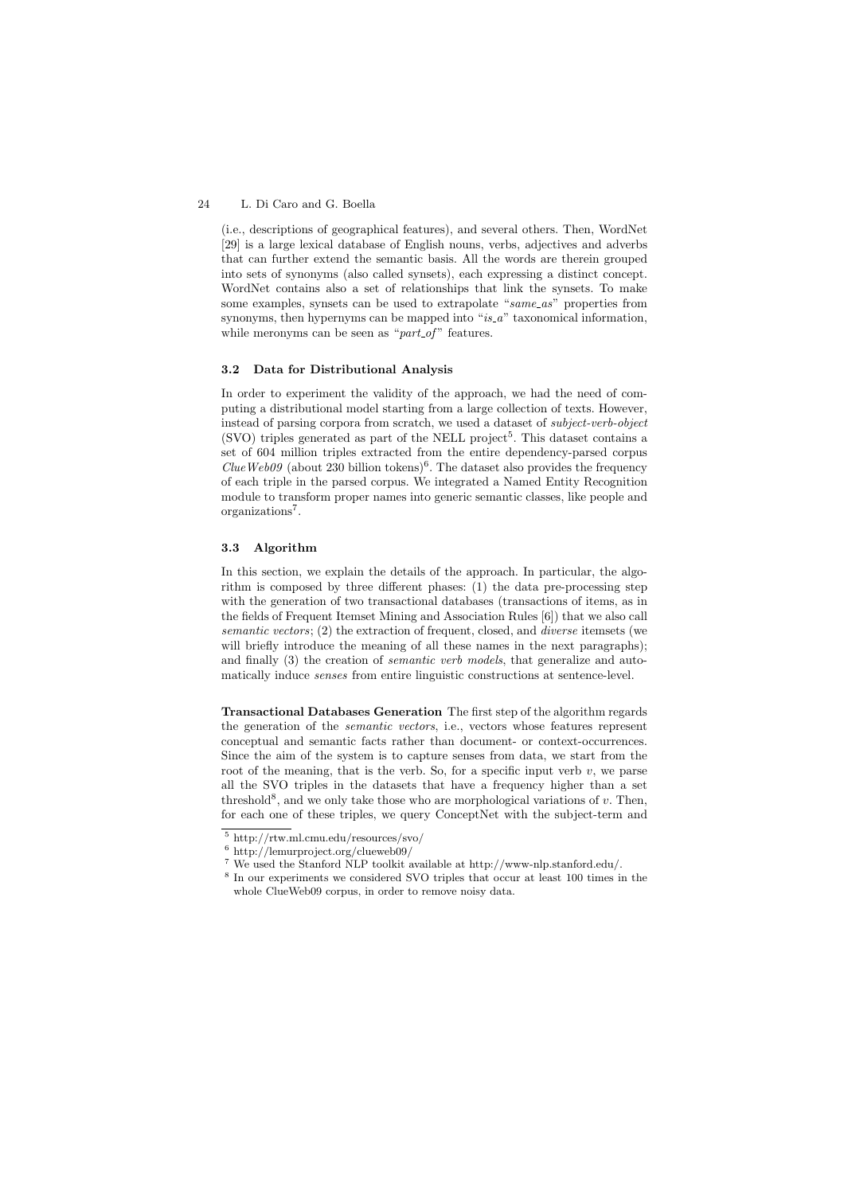(i.e., descriptions of geographical features), and several others. Then, WordNet [29] is a large lexical database of English nouns, verbs, adjectives and adverbs that can further extend the semantic basis. All the words are therein grouped into sets of synonyms (also called synsets), each expressing a distinct concept. WordNet contains also a set of relationships that link the synsets. To make some examples, synsets can be used to extrapolate "*same as*" properties from synonyms, then hypernyms can be mapped into "*is\_a*" taxonomical information, while meronyms can be seen as "*part\_of*" features.

#### 3.2 Data for Distributional Analysis

In order to experiment the validity of the approach, we had the need of computing a distributional model starting from a large collection of texts. However, instead of parsing corpora from scratch, we used a dataset of *subject-verb-object*  $(SVO)$  triples generated as part of the NELL project<sup>5</sup>. This dataset contains a set of 604 million triples extracted from the entire dependency-parsed corpus *ClueWeb09* (about 230 billion tokens)<sup>6</sup>. The dataset also provides the frequency of each triple in the parsed corpus. We integrated a Named Entity Recognition module to transform proper names into generic semantic classes, like people and organizations<sup>7</sup>.

#### 3.3 Algorithm

In this section, we explain the details of the approach. In particular, the algorithm is composed by three different phases:  $(1)$  the data pre-processing step with the generation of two transactional databases (transactions of items, as in the fields of Frequent Itemset Mining and Association Rules [6]) that we also call *semantic vectors*; (2) the extraction of frequent, closed, and *diverse* itemsets (we will briefly introduce the meaning of all these names in the next paragraphs); and finally (3) the creation of *semantic verb models*, that generalize and automatically induce *senses* from entire linguistic constructions at sentence-level.

Transactional Databases Generation The first step of the algorithm regards the generation of the *semantic vectors*, i.e., vectors whose features represent conceptual and semantic facts rather than document- or context-occurrences. Since the aim of the system is to capture senses from data, we start from the root of the meaning, that is the verb. So, for a specific input verb  $v$ , we parse all the SVO triples in the datasets that have a frequency higher than a set threshold<sup>8</sup>, and we only take those who are morphological variations of  $v$ . Then, for each one of these triples, we query ConceptNet with the subject-term and

<sup>5</sup> http://rtw.ml.cmu.edu/resources/svo/

<sup>6</sup> http://lemurproject.org/clueweb09/

 $^7$  We used the Stanford NLP toolkit available at http://www-nlp.stanford.edu/.

<sup>8</sup> In our experiments we considered SVO triples that occur at least 100 times in the whole ClueWeb09 corpus, in order to remove noisy data.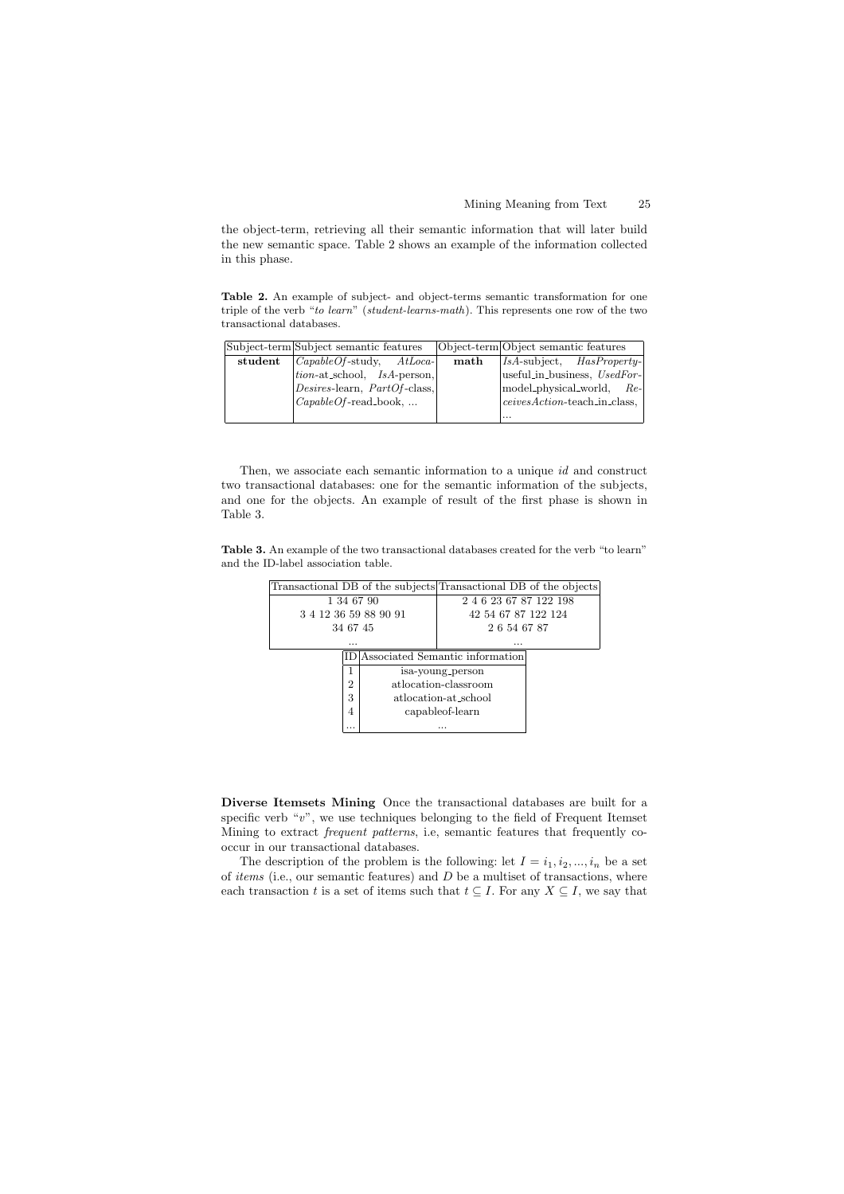the object-term, retrieving all their semantic information that will later build the new semantic space. Table 2 shows an example of the information collected in this phase.

Table 2. An example of subject- and object-terms semantic transformation for one triple of the verb "*to learn*" (*student-learns-math*). This represents one row of the two transactional databases.

|         | Subject-term Subject semantic features              |                 | Object-term Object semantic features |
|---------|-----------------------------------------------------|-----------------|--------------------------------------|
| student | $ CapableOf$ -study, $AtLocal$                      | $\mathbf{math}$ | $ IsA\text{-subject}, HasProperty- $ |
|         | $\{tion-at\_school, \quad \text{IsA-person.}\}\$    |                 | useful_in_business, UsedFor-         |
|         | $ Desires$ -learn, $PartOf$ -class,                 |                 | model_physical_world,<br>$Re-$       |
|         | $\langle CapableOf\text{-read-book}, \dots \rangle$ |                 | ceivesAction-teach_in_class,         |
|         |                                                     |                 | $\cdots$                             |

Then, we associate each semantic information to a unique *id* and construct two transactional databases: one for the semantic information of the subjects, and one for the objects. An example of result of the first phase is shown in Table 3.

Table 3. An example of the two transactional databases created for the verb "to learn" and the ID-label association table.



Diverse Itemsets Mining Once the transactional databases are built for a specific verb "v", we use techniques belonging to the field of Frequent Itemset Mining to extract *frequent patterns*, i.e, semantic features that frequently cooccur in our transactional databases.

The description of the problem is the following: let  $I = i_1, i_2, ..., i_n$  be a set of *items* (i.e., our semantic features) and *D* be a multiset of transactions, where each transaction *t* is a set of items such that  $t \subseteq I$ . For any  $X \subseteq I$ , we say that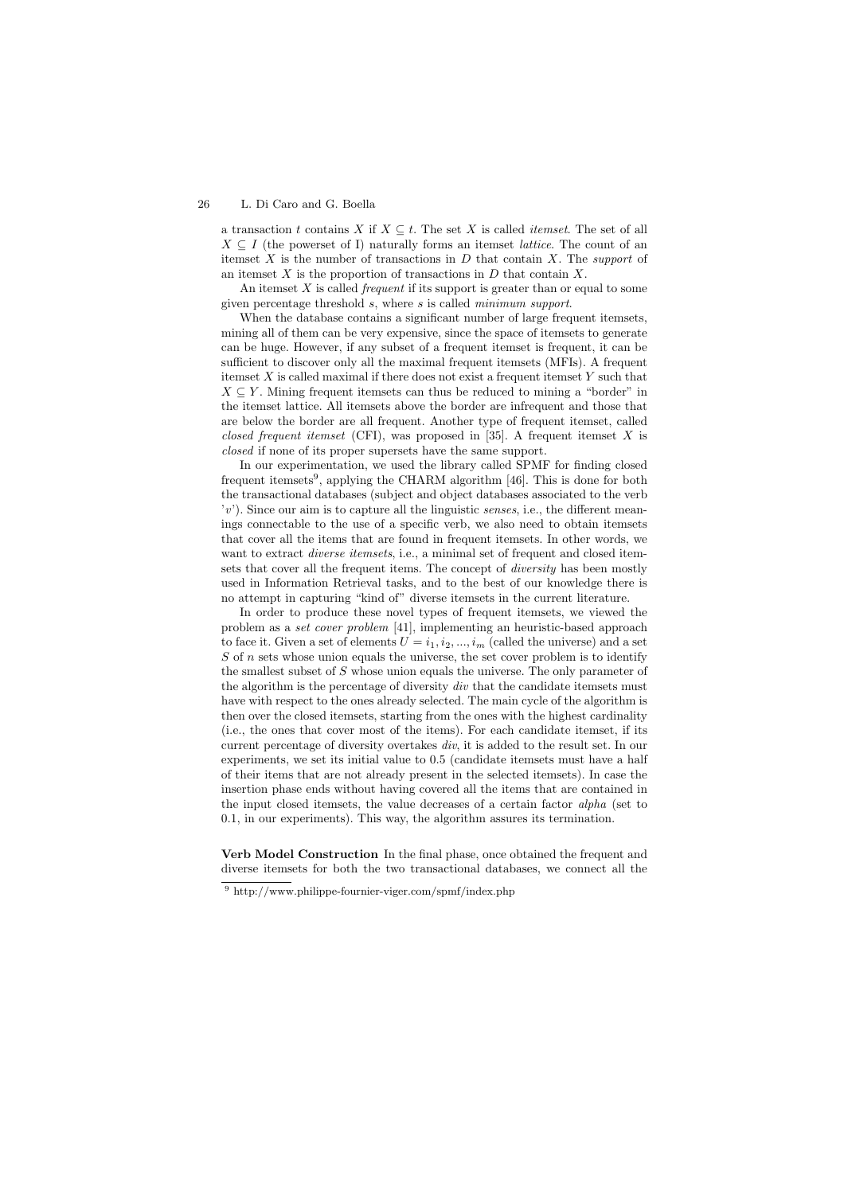a transaction *t* contains *X* if  $X \subseteq t$ . The set *X* is called *itemset*. The set of all  $X \subseteq I$  (the powerset of I) naturally forms an itemset *lattice*. The count of an itemset *X* is the number of transactions in *D* that contain *X*. The *support* of an itemset *X* is the proportion of transactions in *D* that contain *X*.

An itemset *X* is called *frequent* if its support is greater than or equal to some given percentage threshold *s*, where *s* is called *minimum support*.

When the database contains a significant number of large frequent itemsets, mining all of them can be very expensive, since the space of itemsets to generate can be huge. However, if any subset of a frequent itemset is frequent, it can be sufficient to discover only all the maximal frequent itemsets (MFIs). A frequent itemset *X* is called maximal if there does not exist a frequent itemset *Y* such that  $X \subseteq Y$ . Mining frequent itemsets can thus be reduced to mining a "border" in the itemset lattice. All itemsets above the border are infrequent and those that are below the border are all frequent. Another type of frequent itemset, called *closed frequent itemset* (CFI), was proposed in [35]. A frequent itemset *X* is *closed* if none of its proper supersets have the same support.

In our experimentation, we used the library called SPMF for finding closed frequent itemsets<sup>9</sup>, applying the CHARM algorithm [46]. This is done for both the transactional databases (subject and object databases associated to the verb  $(v')$ . Since our aim is to capture all the linguistic *senses*, i.e., the different meanings connectable to the use of a specific verb, we also need to obtain itemsets that cover all the items that are found in frequent itemsets. In other words, we want to extract *diverse itemsets*, i.e., a minimal set of frequent and closed itemsets that cover all the frequent items. The concept of *diversity* has been mostly used in Information Retrieval tasks, and to the best of our knowledge there is no attempt in capturing "kind of" diverse itemsets in the current literature.

In order to produce these novel types of frequent itemsets, we viewed the problem as a *set cover problem* [41], implementing an heuristic-based approach to face it. Given a set of elements  $U = i_1, i_2, ..., i_m$  (called the universe) and a set *S* of *n* sets whose union equals the universe, the set cover problem is to identify the smallest subset of *S* whose union equals the universe. The only parameter of the algorithm is the percentage of diversity *div* that the candidate itemsets must have with respect to the ones already selected. The main cycle of the algorithm is then over the closed itemsets, starting from the ones with the highest cardinality (i.e., the ones that cover most of the items). For each candidate itemset, if its current percentage of diversity overtakes *div*, it is added to the result set. In our experiments, we set its initial value to 0*.*5 (candidate itemsets must have a half of their items that are not already present in the selected itemsets). In case the insertion phase ends without having covered all the items that are contained in the input closed itemsets, the value decreases of a certain factor *alpha* (set to 0.1, in our experiments). This way, the algorithm assures its termination.

Verb Model Construction In the final phase, once obtained the frequent and diverse itemsets for both the two transactional databases, we connect all the

<sup>9</sup> http://www.philippe-fournier-viger.com/spmf/index.php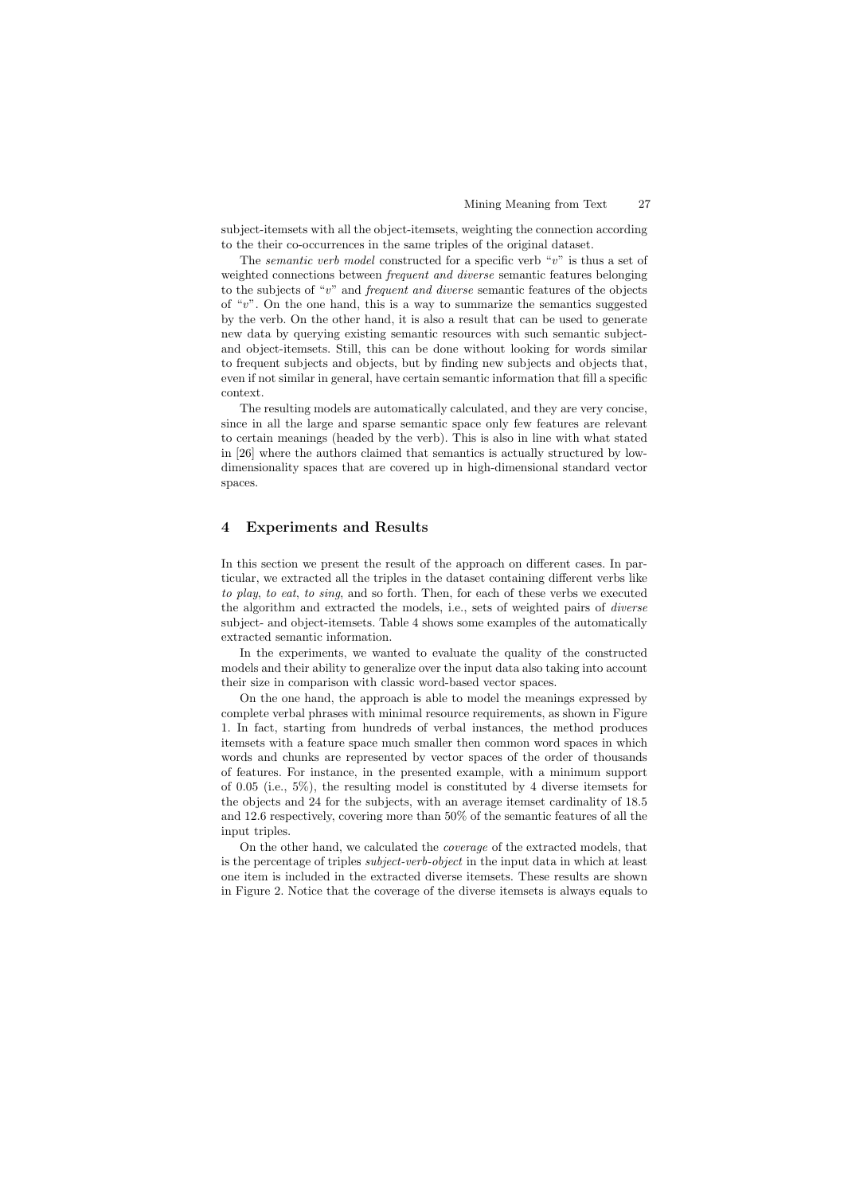subject-itemsets with all the object-itemsets, weighting the connection according to the their co-occurrences in the same triples of the original dataset.

The *semantic verb model* constructed for a specific verb "*v*" is thus a set of weighted connections between *frequent and diverse* semantic features belonging to the subjects of "*v*" and *frequent and diverse* semantic features of the objects of "*v*". On the one hand, this is a way to summarize the semantics suggested by the verb. On the other hand, it is also a result that can be used to generate new data by querying existing semantic resources with such semantic subjectand object-itemsets. Still, this can be done without looking for words similar to frequent subjects and objects, but by finding new subjects and objects that, even if not similar in general, have certain semantic information that fill a specific context.

The resulting models are automatically calculated, and they are very concise, since in all the large and sparse semantic space only few features are relevant to certain meanings (headed by the verb). This is also in line with what stated in [26] where the authors claimed that semantics is actually structured by lowdimensionality spaces that are covered up in high-dimensional standard vector spaces.

# 4 Experiments and Results

In this section we present the result of the approach on different cases. In particular, we extracted all the triples in the dataset containing different verbs like *to play*, *to eat*, *to sing*, and so forth. Then, for each of these verbs we executed the algorithm and extracted the models, i.e., sets of weighted pairs of *diverse* subject- and object-itemsets. Table 4 shows some examples of the automatically extracted semantic information.

In the experiments, we wanted to evaluate the quality of the constructed models and their ability to generalize over the input data also taking into account their size in comparison with classic word-based vector spaces.

On the one hand, the approach is able to model the meanings expressed by complete verbal phrases with minimal resource requirements, as shown in Figure 1. In fact, starting from hundreds of verbal instances, the method produces itemsets with a feature space much smaller then common word spaces in which words and chunks are represented by vector spaces of the order of thousands of features. For instance, in the presented example, with a minimum support of 0*.*05 (i.e., 5%), the resulting model is constituted by 4 diverse itemsets for the objects and 24 for the subjects, with an average itemset cardinality of 18*.*5 and 12*.*6 respectively, covering more than 50% of the semantic features of all the input triples.

On the other hand, we calculated the *coverage* of the extracted models, that is the percentage of triples *subject-verb-object* in the input data in which at least one item is included in the extracted diverse itemsets. These results are shown in Figure 2. Notice that the coverage of the diverse itemsets is always equals to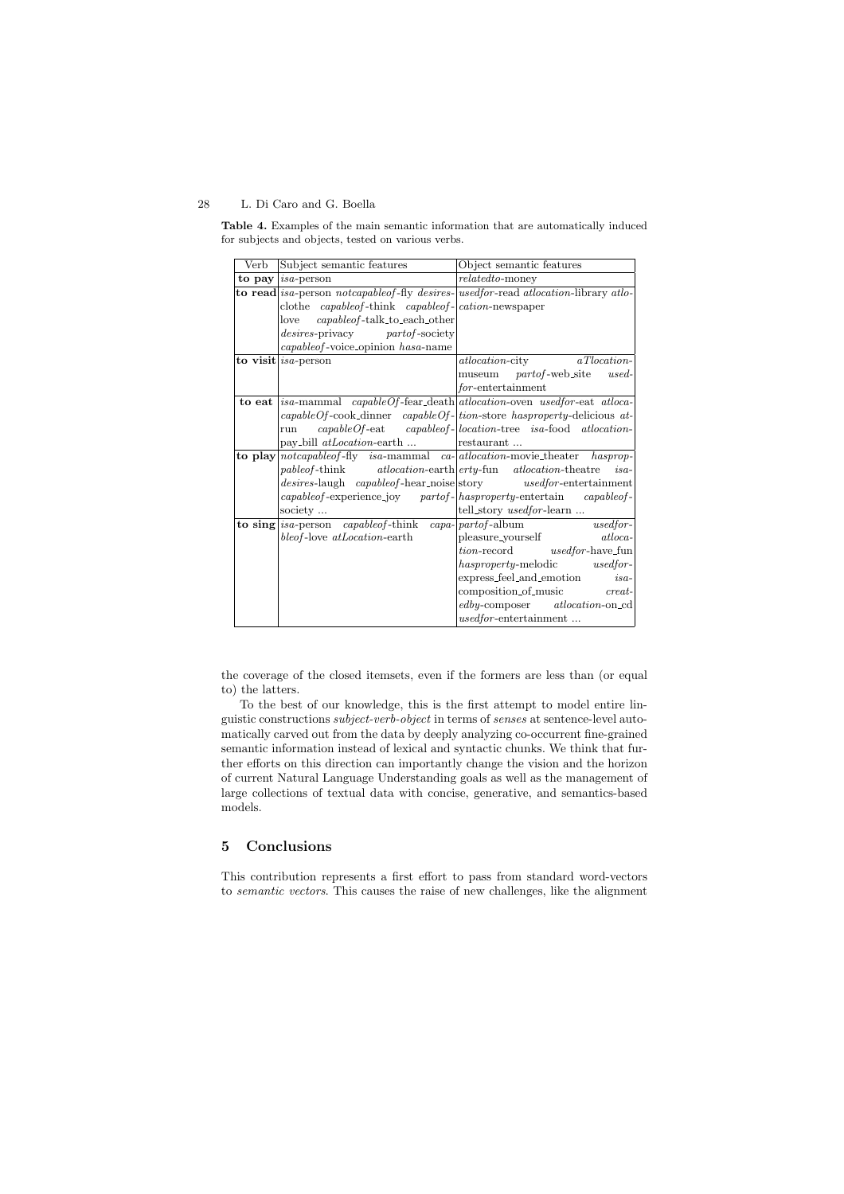Table 4. Examples of the main semantic information that are automatically induced for subjects and objects, tested on various verbs.

| Verb   | Subject semantic features                                                  | Object semantic features                                                                                                     |
|--------|----------------------------------------------------------------------------|------------------------------------------------------------------------------------------------------------------------------|
| to pay | $ isa$ -person                                                             | $related to$ -money                                                                                                          |
|        |                                                                            | <b>to read</b> is a-person <i>notcapable of</i> -fly <i>desires</i> - used for-read <i>atlocation</i> -library at lo-        |
|        | clothe <i>capableof</i> -think <i>capableof</i> - <i>cation</i> -newspaper |                                                                                                                              |
|        | capableof-talk_to_each_other<br>love                                       |                                                                                                                              |
|        | <i>desires-privacy partof-society</i>                                      |                                                                                                                              |
|        | capableof-voice_opinion hasa-name                                          |                                                                                                                              |
|        | to visit $ isa$ -person                                                    | <i>atlocation-city</i><br>aTlocation-                                                                                        |
|        |                                                                            | museum <i>partof</i> -web_site<br>$used-$                                                                                    |
|        |                                                                            | for-entertainment                                                                                                            |
|        |                                                                            | to eat <i>isa-mammal capableOf-fear_death atlocation-oven usedfor-eat atloca-</i>                                            |
|        |                                                                            | $capableOf\text{-}cook\text{-}dimner \quad capableOf\text{-}lion\text{-}store \; has property\text{-}delicious \;at\text{-}$ |
|        | run                                                                        | $capableOf$ -eat $capableOf$ - $ location$ -tree isa-food atlocation-                                                        |
|        | pay_bill <i>atLocation</i> -earth                                          | restaurant                                                                                                                   |
|        |                                                                            | <b>to play</b> notcapable of fly is a-mammal ca- at location-movie the ater has prop-                                        |
|        |                                                                            | pable of-think atlocation-earth erty-fun atlocation-theatre is a-                                                            |
|        |                                                                            | desires-laugh capable of-hear_noise story used for-entertainment                                                             |
|        |                                                                            | capableof-experience_joy partof- hasproperty-entertain capableof-                                                            |
|        | society                                                                    | tell_story usedfor-learn                                                                                                     |
|        | <b>to sing</b> <i>isa-person capable of -think capa- part of -album</i>    | usedfor-                                                                                                                     |
|        | bleof-love atLocation-earth                                                | pleasure_yourself<br>atloca-                                                                                                 |
|        |                                                                            | $\label{thm:non-record} tion-record \hspace{1cm} used for \text{-}have\_fun$                                                 |
|        |                                                                            | hasproperty-melodic usedfor-                                                                                                 |
|        |                                                                            | express_feel_and_emotion<br>$is a-$                                                                                          |
|        |                                                                            | composition of music creat-                                                                                                  |
|        |                                                                            | edby-composer atlocation-on_cd                                                                                               |
|        |                                                                            | <i>usedfor</i> -entertainment                                                                                                |

the coverage of the closed itemsets, even if the formers are less than (or equal to) the latters.

To the best of our knowledge, this is the first attempt to model entire linguistic constructions *subject-verb-object* in terms of *senses* at sentence-level automatically carved out from the data by deeply analyzing co-occurrent fine-grained semantic information instead of lexical and syntactic chunks. We think that further efforts on this direction can importantly change the vision and the horizon of current Natural Language Understanding goals as well as the management of large collections of textual data with concise, generative, and semantics-based models.

# 5 Conclusions

This contribution represents a first effort to pass from standard word-vectors to *semantic vectors*. This causes the raise of new challenges, like the alignment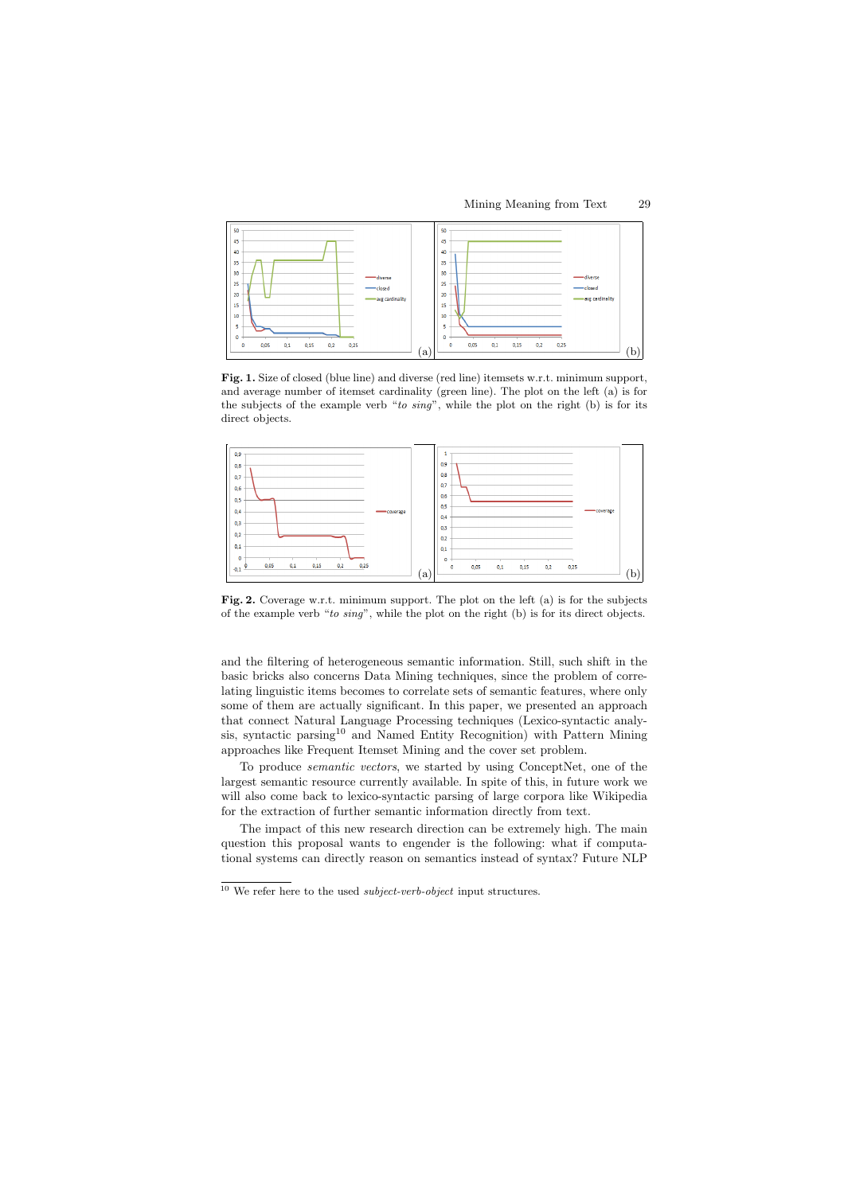Mining Meaning from Text 29



Fig. 1. Size of closed (blue line) and diverse (red line) itemsets w.r.t. minimum support, and average number of itemset cardinality (green line). The plot on the left (a) is for the subjects of the example verb "*to sing*", while the plot on the right (b) is for its direct objects.



Fig. 2. Coverage w.r.t. minimum support. The plot on the left (a) is for the subjects of the example verb "*to sing*", while the plot on the right (b) is for its direct objects.

and the filtering of heterogeneous semantic information. Still, such shift in the basic bricks also concerns Data Mining techniques, since the problem of correlating linguistic items becomes to correlate sets of semantic features, where only some of them are actually significant. In this paper, we presented an approach that connect Natural Language Processing techniques (Lexico-syntactic analysis, syntactic parsing<sup>10</sup> and Named Entity Recognition) with Pattern Mining approaches like Frequent Itemset Mining and the cover set problem.

To produce *semantic vectors*, we started by using ConceptNet, one of the largest semantic resource currently available. In spite of this, in future work we will also come back to lexico-syntactic parsing of large corpora like Wikipedia for the extraction of further semantic information directly from text.

The impact of this new research direction can be extremely high. The main question this proposal wants to engender is the following: what if computational systems can directly reason on semantics instead of syntax? Future NLP

<sup>10</sup> We refer here to the used *subject-verb-object* input structures.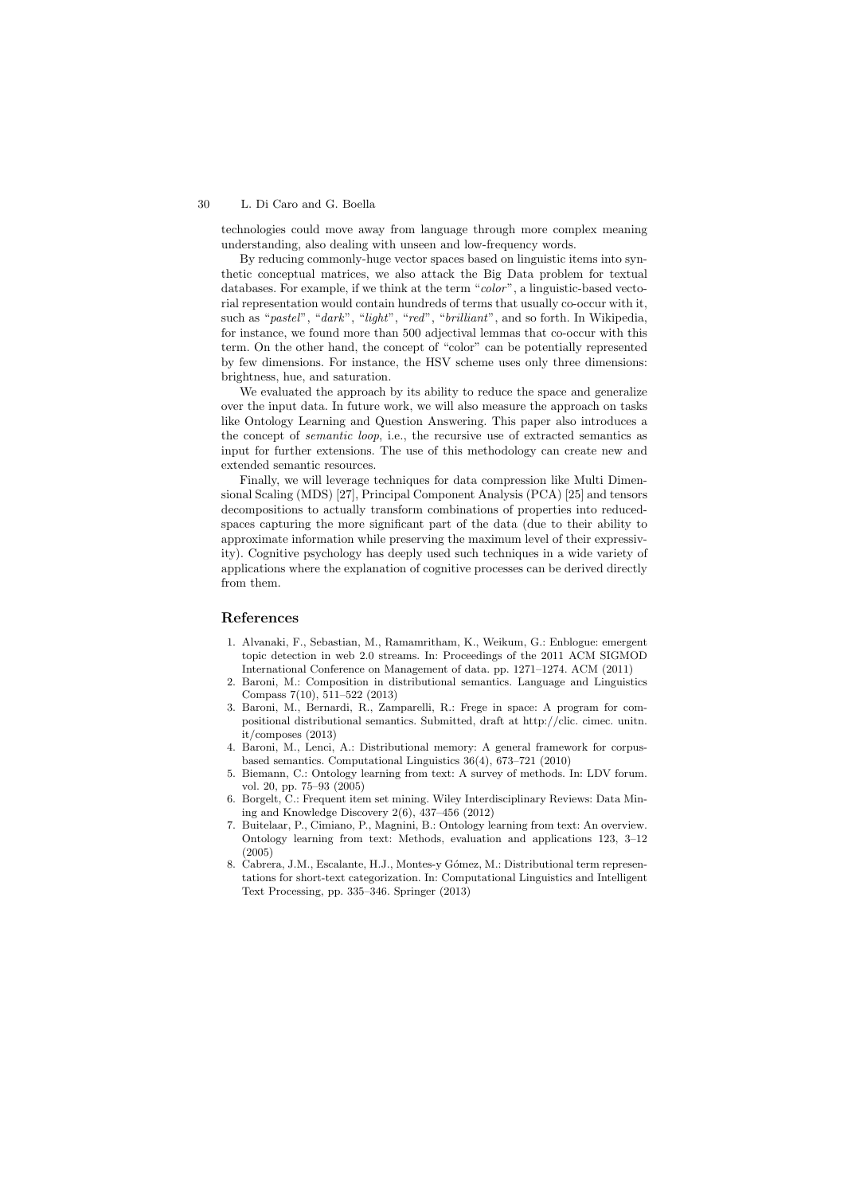technologies could move away from language through more complex meaning understanding, also dealing with unseen and low-frequency words.

By reducing commonly-huge vector spaces based on linguistic items into synthetic conceptual matrices, we also attack the Big Data problem for textual databases. For example, if we think at the term "*color*", a linguistic-based vectorial representation would contain hundreds of terms that usually co-occur with it, such as "*pastel*", "*dark*", "*light*", "*red*", "*brilliant*", and so forth. In Wikipedia, for instance, we found more than 500 adjectival lemmas that co-occur with this term. On the other hand, the concept of "color" can be potentially represented by few dimensions. For instance, the HSV scheme uses only three dimensions: brightness, hue, and saturation.

We evaluated the approach by its ability to reduce the space and generalize over the input data. In future work, we will also measure the approach on tasks like Ontology Learning and Question Answering. This paper also introduces a the concept of *semantic loop*, i.e., the recursive use of extracted semantics as input for further extensions. The use of this methodology can create new and extended semantic resources.

Finally, we will leverage techniques for data compression like Multi Dimensional Scaling (MDS) [27], Principal Component Analysis (PCA) [25] and tensors decompositions to actually transform combinations of properties into reducedspaces capturing the more significant part of the data (due to their ability to approximate information while preserving the maximum level of their expressivity). Cognitive psychology has deeply used such techniques in a wide variety of applications where the explanation of cognitive processes can be derived directly from them.

# References

- 1. Alvanaki, F., Sebastian, M., Ramamritham, K., Weikum, G.: Enblogue: emergent topic detection in web 2.0 streams. In: Proceedings of the 2011 ACM SIGMOD International Conference on Management of data. pp. 1271–1274. ACM (2011)
- 2. Baroni, M.: Composition in distributional semantics. Language and Linguistics Compass 7(10), 511–522 (2013)
- 3. Baroni, M., Bernardi, R., Zamparelli, R.: Frege in space: A program for compositional distributional semantics. Submitted, draft at http://clic. cimec. unitn. it/composes (2013)
- 4. Baroni, M., Lenci, A.: Distributional memory: A general framework for corpusbased semantics. Computational Linguistics 36(4), 673–721 (2010)
- 5. Biemann, C.: Ontology learning from text: A survey of methods. In: LDV forum. vol. 20, pp. 75–93 (2005)
- 6. Borgelt, C.: Frequent item set mining. Wiley Interdisciplinary Reviews: Data Mining and Knowledge Discovery 2(6), 437–456 (2012)
- 7. Buitelaar, P., Cimiano, P., Magnini, B.: Ontology learning from text: An overview. Ontology learning from text: Methods, evaluation and applications 123, 3–12 (2005)
- 8. Cabrera, J.M., Escalante, H.J., Montes-y Gómez, M.: Distributional term representations for short-text categorization. In: Computational Linguistics and Intelligent Text Processing, pp. 335–346. Springer (2013)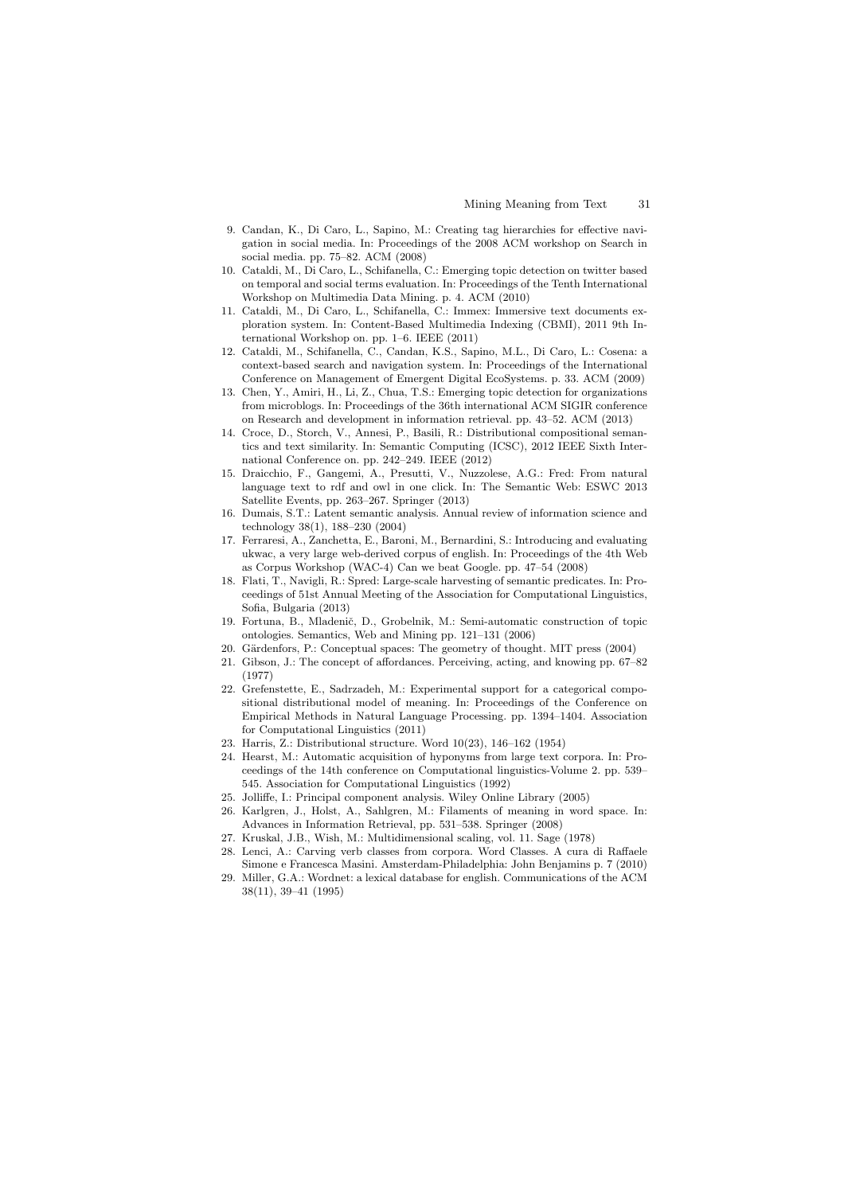- 9. Candan, K., Di Caro, L., Sapino, M.: Creating tag hierarchies for effective navigation in social media. In: Proceedings of the 2008 ACM workshop on Search in social media. pp. 75–82. ACM (2008)
- 10. Cataldi, M., Di Caro, L., Schifanella, C.: Emerging topic detection on twitter based on temporal and social terms evaluation. In: Proceedings of the Tenth International Workshop on Multimedia Data Mining. p. 4. ACM (2010)
- 11. Cataldi, M., Di Caro, L., Schifanella, C.: Immex: Immersive text documents exploration system. In: Content-Based Multimedia Indexing (CBMI), 2011 9th International Workshop on. pp. 1–6. IEEE (2011)
- 12. Cataldi, M., Schifanella, C., Candan, K.S., Sapino, M.L., Di Caro, L.: Cosena: a context-based search and navigation system. In: Proceedings of the International Conference on Management of Emergent Digital EcoSystems. p. 33. ACM (2009)
- 13. Chen, Y., Amiri, H., Li, Z., Chua, T.S.: Emerging topic detection for organizations from microblogs. In: Proceedings of the 36th international ACM SIGIR conference on Research and development in information retrieval. pp. 43–52. ACM (2013)
- 14. Croce, D., Storch, V., Annesi, P., Basili, R.: Distributional compositional semantics and text similarity. In: Semantic Computing (ICSC), 2012 IEEE Sixth International Conference on. pp. 242–249. IEEE (2012)
- 15. Draicchio, F., Gangemi, A., Presutti, V., Nuzzolese, A.G.: Fred: From natural language text to rdf and owl in one click. In: The Semantic Web: ESWC 2013 Satellite Events, pp. 263–267. Springer (2013)
- 16. Dumais, S.T.: Latent semantic analysis. Annual review of information science and technology 38(1), 188–230 (2004)
- 17. Ferraresi, A., Zanchetta, E., Baroni, M., Bernardini, S.: Introducing and evaluating ukwac, a very large web-derived corpus of english. In: Proceedings of the 4th Web as Corpus Workshop (WAC-4) Can we beat Google. pp. 47–54 (2008)
- 18. Flati, T., Navigli, R.: Spred: Large-scale harvesting of semantic predicates. In: Proceedings of 51st Annual Meeting of the Association for Computational Linguistics, Sofia, Bulgaria (2013)
- 19. Fortuna, B., Mladenič, D., Grobelnik, M.: Semi-automatic construction of topic ontologies. Semantics, Web and Mining pp. 121–131 (2006)
- 20. Gärdenfors, P.: Conceptual spaces: The geometry of thought. MIT press (2004)
- 21. Gibson, J.: The concept of affordances. Perceiving, acting, and knowing pp. 67–82 (1977)
- 22. Grefenstette, E., Sadrzadeh, M.: Experimental support for a categorical compositional distributional model of meaning. In: Proceedings of the Conference on Empirical Methods in Natural Language Processing. pp. 1394–1404. Association for Computational Linguistics (2011)
- 23. Harris, Z.: Distributional structure. Word 10(23), 146–162 (1954)
- 24. Hearst, M.: Automatic acquisition of hyponyms from large text corpora. In: Proceedings of the 14th conference on Computational linguistics-Volume 2. pp. 539– 545. Association for Computational Linguistics (1992)
- 25. Jolliffe, I.: Principal component analysis. Wiley Online Library (2005)
- 26. Karlgren, J., Holst, A., Sahlgren, M.: Filaments of meaning in word space. In: Advances in Information Retrieval, pp. 531–538. Springer (2008)
- 27. Kruskal, J.B., Wish, M.: Multidimensional scaling, vol. 11. Sage (1978)
- Lenci, A.: Carving verb classes from corpora. Word Classes. A cura di Raffaele Simone e Francesca Masini. Amsterdam-Philadelphia: John Benjamins p. 7 (2010)
- 29. Miller, G.A.: Wordnet: a lexical database for english. Communications of the ACM 38(11), 39–41 (1995)